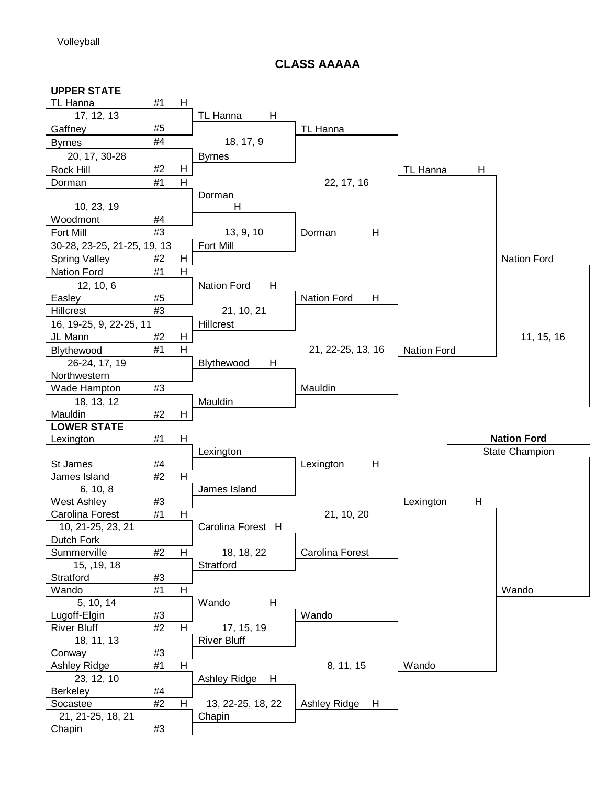**CLASS AAAAA**

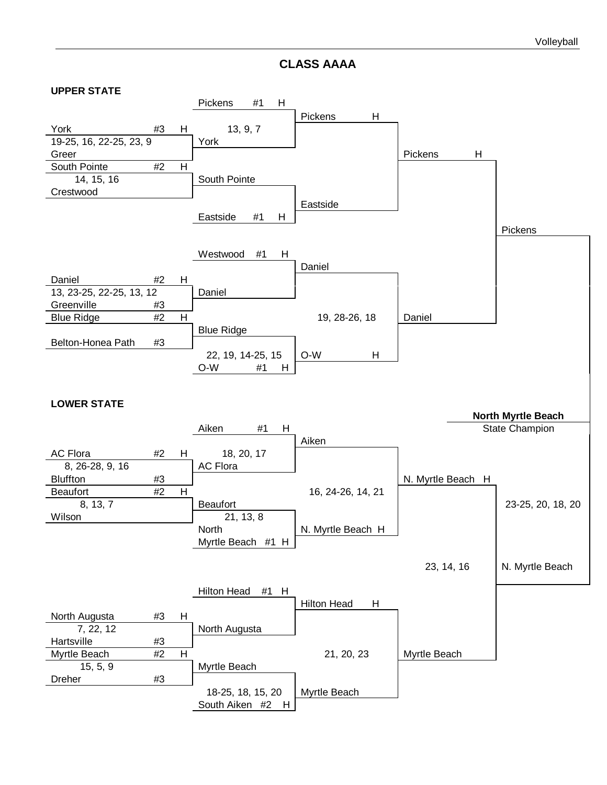**CLASS AAAA**

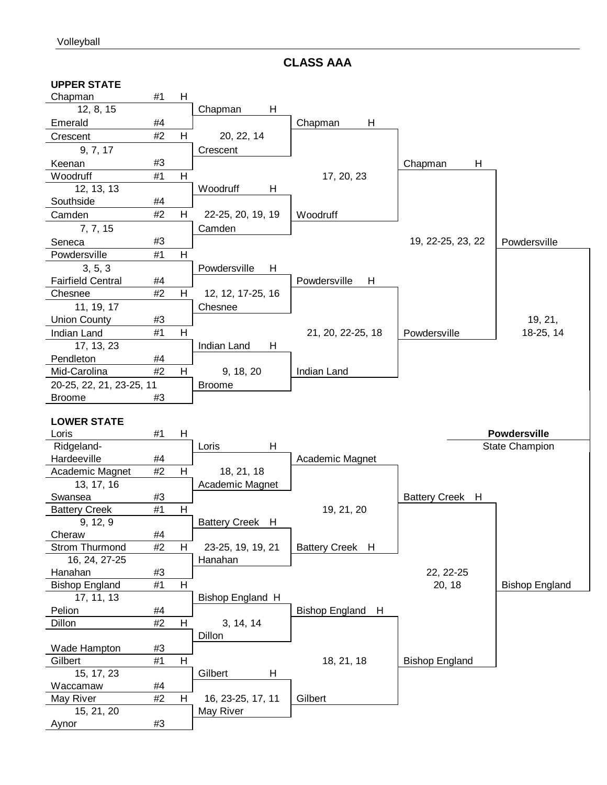**CLASS AAA**

| <b>UPPER STATE</b>          |    |   |                   |                   |                           |                       |
|-----------------------------|----|---|-------------------|-------------------|---------------------------|-----------------------|
| Chapman                     | #1 | H |                   |                   |                           |                       |
| 12, 8, 15                   |    |   | Н<br>Chapman      |                   |                           |                       |
| Emerald                     | #4 |   |                   | H<br>Chapman      |                           |                       |
| Crescent                    | #2 | н | 20, 22, 14        |                   |                           |                       |
| 9, 7, 17                    |    |   | Crescent          |                   |                           |                       |
| Keenan                      | #3 |   |                   |                   | Н<br>Chapman              |                       |
| Woodruff                    | #1 | H |                   | 17, 20, 23        |                           |                       |
| 12, 13, 13                  |    |   | Woodruff<br>н     |                   |                           |                       |
| Southside                   | #4 |   |                   |                   |                           |                       |
| Camden                      | #2 | H | 22-25, 20, 19, 19 | Woodruff          |                           |                       |
| 7, 7, 15                    |    |   | Camden            |                   |                           |                       |
| Seneca                      | #3 |   |                   |                   | 19, 22-25, 23, 22         | Powdersville          |
| Powdersville                | #1 | н |                   |                   |                           |                       |
| 3, 5, 3                     |    |   | Powdersville<br>H |                   |                           |                       |
| <b>Fairfield Central</b>    | #4 |   |                   | Powdersville<br>H |                           |                       |
| Chesnee                     | #2 | H | 12, 12, 17-25, 16 |                   |                           |                       |
| 11, 19, 17                  |    |   | Chesnee           |                   |                           |                       |
| <b>Union County</b>         | #3 |   |                   |                   |                           | 19, 21,               |
| Indian Land                 | #1 | Н |                   | 21, 20, 22-25, 18 | Powdersville              | 18-25, 14             |
| 17, 13, 23                  |    |   | Indian Land<br>H  |                   |                           |                       |
| Pendleton                   | #4 |   |                   |                   |                           |                       |
| Mid-Carolina                | #2 | H | 9, 18, 20         | Indian Land       |                           |                       |
| 20-25, 22, 21, 23-25, 11    |    |   | <b>Broome</b>     |                   |                           |                       |
| <b>Broome</b>               | #3 |   |                   |                   |                           |                       |
|                             |    |   |                   |                   |                           |                       |
|                             |    |   |                   |                   |                           |                       |
|                             |    |   |                   |                   |                           |                       |
| <b>LOWER STATE</b><br>Loris | #1 | H |                   |                   |                           | <b>Powdersville</b>   |
| Ridgeland-                  |    |   | Н<br>Loris        |                   |                           | State Champion        |
| Hardeeville                 | #4 |   |                   |                   |                           |                       |
| Academic Magnet             | #2 | н | 18, 21, 18        | Academic Magnet   |                           |                       |
| 13, 17, 16                  |    |   | Academic Magnet   |                   |                           |                       |
| Swansea                     | #3 |   |                   |                   | <b>Battery Creek</b><br>H |                       |
| <b>Battery Creek</b>        | #1 | Н |                   | 19, 21, 20        |                           |                       |
| 9, 12, 9                    |    |   | Battery Creek H   |                   |                           |                       |
| Cheraw                      | #4 |   |                   |                   |                           |                       |
| Strom Thurmond              | #2 | н | 23-25, 19, 19, 21 | Battery Creek H   |                           |                       |
| 16, 24, 27-25               |    |   | Hanahan           |                   |                           |                       |
| Hanahan                     | #3 |   |                   |                   | 22, 22-25                 |                       |
| <b>Bishop England</b>       | #1 | Н |                   |                   | 20, 18                    | <b>Bishop England</b> |
| 17, 11, 13                  |    |   | Bishop England H  |                   |                           |                       |
| Pelion                      | #4 |   |                   | Bishop England H  |                           |                       |
| Dillon                      | #2 | H | 3, 14, 14         |                   |                           |                       |
|                             |    |   | Dillon            |                   |                           |                       |
| Wade Hampton                | #3 |   |                   |                   |                           |                       |
| Gilbert                     | #1 | н |                   | 18, 21, 18        | <b>Bishop England</b>     |                       |
| 15, 17, 23                  |    |   | Η<br>Gilbert      |                   |                           |                       |
| Waccamaw                    | #4 |   |                   |                   |                           |                       |
| May River                   | #2 | н | 16, 23-25, 17, 11 | Gilbert           |                           |                       |
| 15, 21, 20<br>Aynor         | #3 |   | May River         |                   |                           |                       |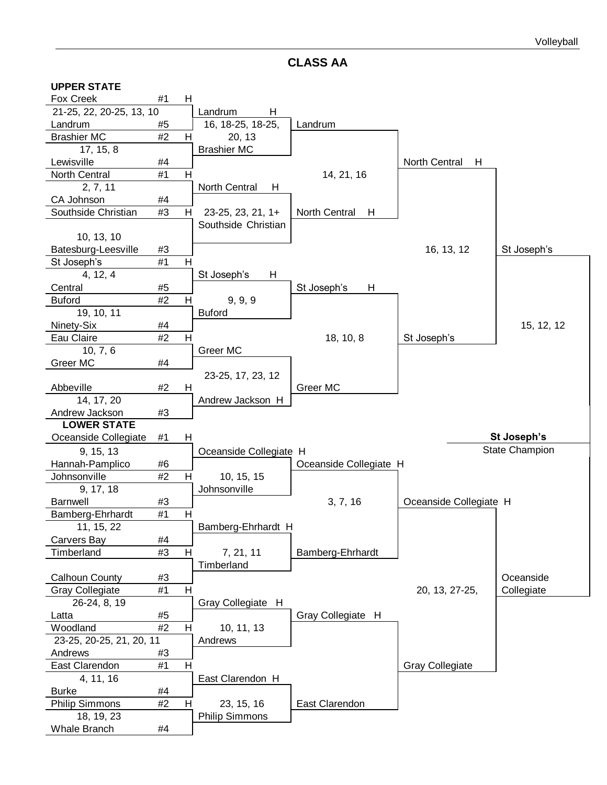**CLASS AA**

| <b>UPPER STATE</b>         |      |   |                           |                        |                        |                       |
|----------------------------|------|---|---------------------------|------------------------|------------------------|-----------------------|
| Fox Creek                  | #1   | H |                           |                        |                        |                       |
| 21-25, 22, 20-25, 13, 10   |      |   | Landrum<br>H              |                        |                        |                       |
| Landrum                    | #5   |   | 16, 18-25, 18-25,         | Landrum                |                        |                       |
| <b>Brashier MC</b>         | #2   | H | 20, 13                    |                        |                        |                       |
| 17, 15, 8                  |      |   | <b>Brashier MC</b>        |                        |                        |                       |
| Lewisville                 | #4   |   |                           |                        | North Central<br>H     |                       |
| North Central              | #1   | H |                           | 14, 21, 16             |                        |                       |
| 2, 7, 11                   |      |   | <b>North Central</b><br>H |                        |                        |                       |
| CA Johnson                 | #4   |   |                           |                        |                        |                       |
| Southside Christian        | #3   | H | 23-25, 23, 21, 1+         | North Central<br>H     |                        |                       |
|                            |      |   | Southside Christian       |                        |                        |                       |
| 10, 13, 10                 |      |   |                           |                        |                        |                       |
| Batesburg-Leesville        | #3   |   |                           |                        | 16, 13, 12             | St Joseph's           |
| St Joseph's                | #1   | H |                           |                        |                        |                       |
| 4, 12, 4                   |      |   | St Joseph's<br>H          |                        |                        |                       |
| Central                    | #5   |   |                           | St Joseph's<br>H       |                        |                       |
| <b>Buford</b>              | #2   | H | 9, 9, 9                   |                        |                        |                       |
| 19, 10, 11                 |      |   | <b>Buford</b>             |                        |                        |                       |
| Ninety-Six                 | #4   |   |                           |                        |                        | 15, 12, 12            |
| Eau Claire                 | #2   | Н |                           | 18, 10, 8              | St Joseph's            |                       |
| 10, 7, 6                   |      |   | Greer MC                  |                        |                        |                       |
| Greer MC                   | #4   |   |                           |                        |                        |                       |
|                            |      |   | 23-25, 17, 23, 12         |                        |                        |                       |
| Abbeville                  | #2   | H |                           | Greer MC               |                        |                       |
| 14, 17, 20                 |      |   | Andrew Jackson H          |                        |                        |                       |
|                            |      |   |                           |                        |                        |                       |
| Andrew Jackson             | #3   |   |                           |                        |                        |                       |
| <b>LOWER STATE</b>         |      |   |                           |                        |                        |                       |
| Oceanside Collegiate       | #1   | H |                           |                        |                        | St Joseph's           |
| 9, 15, 13                  |      |   | Oceanside Collegiate H    |                        |                        | <b>State Champion</b> |
| Hannah-Pamplico            | #6   |   |                           | Oceanside Collegiate H |                        |                       |
| Johnsonville               | #2   | H | 10, 15, 15                |                        |                        |                       |
| 9, 17, 18                  |      |   | Johnsonville              |                        |                        |                       |
| Barnwell                   | #3   |   |                           | 3, 7, 16               | Oceanside Collegiate H |                       |
| Bamberg-Ehrhardt           | #1   | H |                           |                        |                        |                       |
| 11, 15, 22                 |      |   | Bamberg-Ehrhardt H        |                        |                        |                       |
| Carvers Bay                | #4   |   |                           |                        |                        |                       |
| Timberland                 | #3   | H | 7, 21, 11                 | Bamberg-Ehrhardt       |                        |                       |
|                            |      |   | Timberland                |                        |                        |                       |
| <b>Calhoun County</b>      | #3   |   |                           |                        |                        | Oceanside             |
| <b>Gray Collegiate</b>     | #1   | H |                           |                        | 20, 13, 27-25,         | Collegiate            |
| 26-24, 8, 19               |      |   | Gray Collegiate H         |                        |                        |                       |
| Latta                      | #5   |   |                           | Gray Collegiate H      |                        |                       |
| Woodland                   | $#2$ | H | 10, 11, 13                |                        |                        |                       |
| 23-25, 20-25, 21, 20, 11   |      |   | Andrews                   |                        |                        |                       |
| Andrews                    | #3   |   |                           |                        |                        |                       |
| East Clarendon             | #1   | Н |                           |                        | <b>Gray Collegiate</b> |                       |
| 4, 11, 16                  |      |   | East Clarendon H          |                        |                        |                       |
| <b>Burke</b>               | #4   |   |                           |                        |                        |                       |
| <b>Philip Simmons</b>      | #2   | Н | 23, 15, 16                | East Clarendon         |                        |                       |
| 18, 19, 23<br>Whale Branch | #4   |   | <b>Philip Simmons</b>     |                        |                        |                       |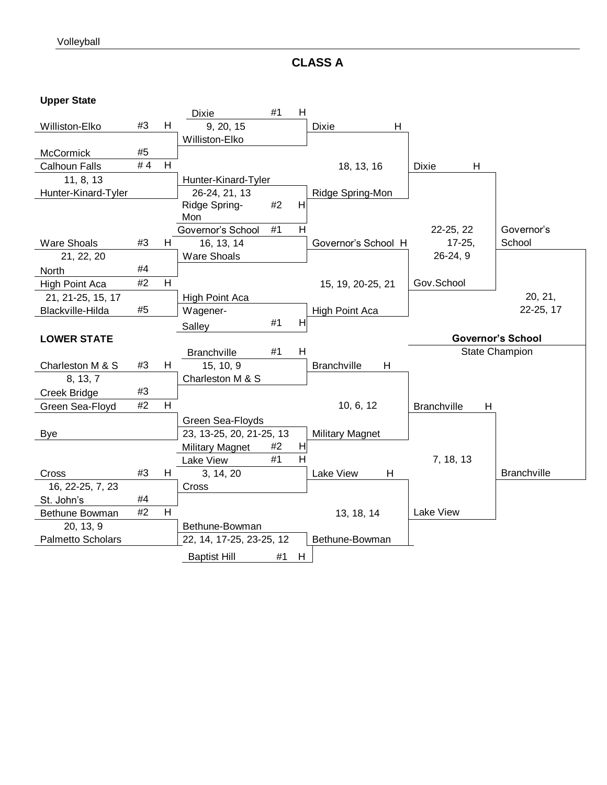**CLASS A**

**Upper State**

|                      |    |    | <b>Dixie</b>             | #1 | H |                         |                         |                          |
|----------------------|----|----|--------------------------|----|---|-------------------------|-------------------------|--------------------------|
| Williston-Elko       | #3 | H  | 9, 20, 15                |    |   | <b>Dixie</b><br>н       |                         |                          |
|                      |    |    | Williston-Elko           |    |   |                         |                         |                          |
| <b>McCormick</b>     | #5 |    |                          |    |   |                         |                         |                          |
| <b>Calhoun Falls</b> | #4 | H  |                          |    |   | 18, 13, 16              | <b>Dixie</b><br>H       |                          |
| 11, 8, 13            |    |    | Hunter-Kinard-Tyler      |    |   |                         |                         |                          |
| Hunter-Kinard-Tyler  |    |    | 26-24, 21, 13            |    |   | Ridge Spring-Mon        |                         |                          |
|                      |    |    | Ridge Spring-<br>Mon     | #2 | H |                         |                         |                          |
|                      |    |    | Governor's School        | #1 | Н |                         | 22-25, 22               | Governor's               |
| <b>Ware Shoals</b>   | #3 | H. | 16, 13, 14               |    |   | Governor's School H     | $17 - 25$               | School                   |
| 21, 22, 20           |    |    | <b>Ware Shoals</b>       |    |   |                         | $26-24, 9$              |                          |
| North                | #4 |    |                          |    |   |                         |                         |                          |
| High Point Aca       | #2 | H  |                          |    |   | 15, 19, 20-25, 21       | Gov.School              |                          |
| 21, 21-25, 15, 17    |    |    | <b>High Point Aca</b>    |    |   |                         |                         | 20, 21,                  |
| Blackville-Hilda     | #5 |    | Wagener-                 |    |   | High Point Aca          |                         | 22-25, 17                |
|                      |    |    | Salley                   | #1 | H |                         |                         |                          |
| <b>LOWER STATE</b>   |    |    |                          |    |   |                         |                         | <b>Governor's School</b> |
|                      |    |    | <b>Branchville</b>       | #1 | H |                         |                         | <b>State Champion</b>    |
|                      |    |    |                          |    |   |                         |                         |                          |
| Charleston M & S     | #3 | H  | 15, 10, 9                |    |   | <b>Branchville</b><br>H |                         |                          |
| 8, 13, 7             |    |    | Charleston M & S         |    |   |                         |                         |                          |
| Creek Bridge         | #3 |    |                          |    |   |                         |                         |                          |
| Green Sea-Floyd      | #2 | H  |                          |    |   | 10, 6, 12               | <b>Branchville</b><br>H |                          |
|                      |    |    | Green Sea-Floyds         |    |   |                         |                         |                          |
| <b>Bye</b>           |    |    | 23, 13-25, 20, 21-25, 13 |    |   | <b>Military Magnet</b>  |                         |                          |
|                      |    |    | <b>Military Magnet</b>   | #2 | H |                         |                         |                          |
|                      |    |    | Lake View                | #1 | H |                         | 7, 18, 13               |                          |
| Cross                | #3 | H  | 3, 14, 20                |    |   | Lake View<br>H          |                         | <b>Branchville</b>       |
| 16, 22-25, 7, 23     |    |    | Cross                    |    |   |                         |                         |                          |
| St. John's           | #4 |    |                          |    |   |                         |                         |                          |
| Bethune Bowman       | #2 | н  |                          |    |   | 13, 18, 14              | Lake View               |                          |
| 20, 13, 9            |    |    | Bethune-Bowman           |    |   |                         |                         |                          |
| Palmetto Scholars    |    |    | 22, 14, 17-25, 23-25, 12 |    |   | Bethune-Bowman          |                         |                          |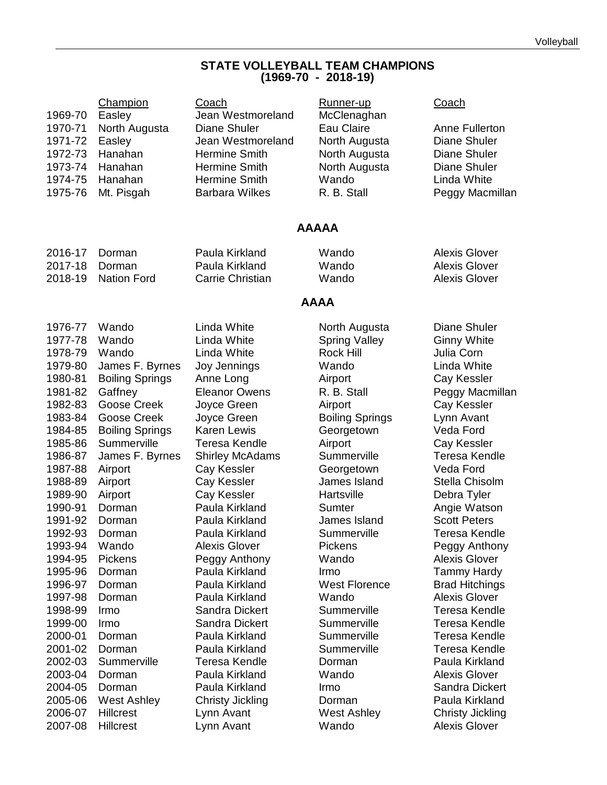#### **STATE VOLLEYBALL TEAM CHAMPIONS (1969-70 - 2018-19)**

| 1969-70<br>1970-71<br>1971-72<br>1972-73<br>1973-74<br>1974-75<br>1975-76 | Champion<br>Easley<br>North Augusta<br>Easley<br>Hanahan<br>Hanahan<br>Hanahan<br>Mt. Pisgah | Coach<br>Jean Westmoreland<br>Diane Shuler<br>Jean Westmoreland<br><b>Hermine Smith</b><br><b>Hermine Smith</b><br><b>Hermine Smith</b><br><b>Barbara Wilkes</b> | Runner-up<br>McClenaghan<br>Eau Claire<br>North Augusta<br>North Augusta<br>North Augusta<br>Wando<br>R. B. Stall | Coach<br>Anne Fullerton<br>Diane Shuler<br>Diane Shuler<br><b>Diane Shuler</b><br>Linda White<br>Peggy Macmillan |
|---------------------------------------------------------------------------|----------------------------------------------------------------------------------------------|------------------------------------------------------------------------------------------------------------------------------------------------------------------|-------------------------------------------------------------------------------------------------------------------|------------------------------------------------------------------------------------------------------------------|
|                                                                           |                                                                                              |                                                                                                                                                                  | <b>AAAAA</b>                                                                                                      |                                                                                                                  |
| 2016-17                                                                   | Dorman                                                                                       | Paula Kirkland                                                                                                                                                   | Wando                                                                                                             | <b>Alexis Glover</b>                                                                                             |
| 2017-18                                                                   | Dorman                                                                                       | Paula Kirkland                                                                                                                                                   | Wando                                                                                                             | <b>Alexis Glover</b>                                                                                             |
| 2018-19                                                                   | <b>Nation Ford</b>                                                                           | Carrie Christian                                                                                                                                                 | Wando                                                                                                             | <b>Alexis Glover</b>                                                                                             |
|                                                                           |                                                                                              |                                                                                                                                                                  | <b>AAAA</b>                                                                                                       |                                                                                                                  |
| 1976-77                                                                   | Wando                                                                                        | Linda White                                                                                                                                                      | North Augusta                                                                                                     | <b>Diane Shuler</b>                                                                                              |
| 1977-78                                                                   | Wando                                                                                        | Linda White                                                                                                                                                      | <b>Spring Valley</b>                                                                                              | <b>Ginny White</b>                                                                                               |
| 1978-79                                                                   | Wando                                                                                        | Linda White                                                                                                                                                      | Rock Hill                                                                                                         | Julia Corn                                                                                                       |
| 1979-80                                                                   | James F. Byrnes                                                                              | Joy Jennings                                                                                                                                                     | Wando                                                                                                             | Linda White                                                                                                      |
| 1980-81                                                                   | <b>Boiling Springs</b>                                                                       | Anne Long                                                                                                                                                        | Airport                                                                                                           | Cay Kessler                                                                                                      |
| 1981-82                                                                   | Gaffney                                                                                      | <b>Eleanor Owens</b>                                                                                                                                             | R. B. Stall                                                                                                       | Peggy Macmillan                                                                                                  |
| 1982-83                                                                   | Goose Creek                                                                                  | Joyce Green                                                                                                                                                      | Airport                                                                                                           | Cay Kessler                                                                                                      |
| 1983-84                                                                   | Goose Creek                                                                                  | Joyce Green                                                                                                                                                      | <b>Boiling Springs</b>                                                                                            | Lynn Avant                                                                                                       |
| 1984-85                                                                   | <b>Boiling Springs</b>                                                                       | <b>Karen Lewis</b>                                                                                                                                               | Georgetown                                                                                                        | Veda Ford                                                                                                        |
| 1985-86                                                                   | Summerville                                                                                  | <b>Teresa Kendle</b>                                                                                                                                             | Airport                                                                                                           | Cay Kessler                                                                                                      |
| 1986-87                                                                   | James F. Byrnes                                                                              | <b>Shirley McAdams</b>                                                                                                                                           | Summerville                                                                                                       | <b>Teresa Kendle</b>                                                                                             |
| 1987-88                                                                   | Airport                                                                                      | Cay Kessler                                                                                                                                                      | Georgetown                                                                                                        | Veda Ford                                                                                                        |
| 1988-89                                                                   | Airport                                                                                      | Cay Kessler                                                                                                                                                      | James Island                                                                                                      | Stella Chisolm                                                                                                   |
| 1989-90                                                                   | Airport                                                                                      | Cay Kessler                                                                                                                                                      | Hartsville                                                                                                        | Debra Tyler                                                                                                      |
| 1990-91                                                                   | Dorman                                                                                       | Paula Kirkland                                                                                                                                                   | Sumter                                                                                                            | Angie Watson                                                                                                     |
| 1991-92                                                                   | Dorman                                                                                       | Paula Kirkland                                                                                                                                                   | James Island                                                                                                      | <b>Scott Peters</b>                                                                                              |
| 1992-93                                                                   | Dorman                                                                                       | Paula Kirkland                                                                                                                                                   | Summerville                                                                                                       | <b>Teresa Kendle</b>                                                                                             |
| 1993-94                                                                   | Wando                                                                                        | <b>Alexis Glover</b>                                                                                                                                             | <b>Pickens</b>                                                                                                    | Peggy Anthony                                                                                                    |
| 1994-95                                                                   | <b>Pickens</b>                                                                               | Peggy Anthony                                                                                                                                                    | Wando                                                                                                             | <b>Alexis Glover</b>                                                                                             |
| 1995-96                                                                   | Dorman                                                                                       | Paula Kirkland                                                                                                                                                   | Irmo                                                                                                              | <b>Tammy Hardy</b>                                                                                               |
| 1996-97                                                                   | Dorman                                                                                       | Paula Kirkland                                                                                                                                                   | <b>West Florence</b>                                                                                              | <b>Brad Hitchings</b>                                                                                            |
| 1997-98                                                                   | Dorman                                                                                       | Paula Kirkland                                                                                                                                                   | Wando                                                                                                             | <b>Alexis Glover</b>                                                                                             |
| 1998-99                                                                   | Irmo                                                                                         | <b>Sandra Dickert</b>                                                                                                                                            | Summerville                                                                                                       | <b>Teresa Kendle</b>                                                                                             |
| 1999-00                                                                   | Irmo                                                                                         | Sandra Dickert                                                                                                                                                   | Summerville                                                                                                       | <b>Teresa Kendle</b>                                                                                             |
| 2000-01                                                                   | Dorman                                                                                       | Paula Kirkland                                                                                                                                                   | Summerville                                                                                                       | Teresa Kendle                                                                                                    |
| 2001-02<br>2002-03                                                        | Dorman<br>Summerville                                                                        | Paula Kirkland<br><b>Teresa Kendle</b><br>Paula Kirkland                                                                                                         | Summerville<br>Dorman                                                                                             | <b>Teresa Kendle</b><br>Paula Kirkland                                                                           |
| 2003-04<br>2004-05<br>2005-06                                             | Dorman<br>Dorman<br><b>West Ashley</b>                                                       | Paula Kirkland<br><b>Christy Jickling</b>                                                                                                                        | Wando<br>Irmo<br>Dorman                                                                                           | <b>Alexis Glover</b><br>Sandra Dickert<br>Paula Kirkland                                                         |
| 2006-07                                                                   | <b>Hillcrest</b>                                                                             | Lynn Avant                                                                                                                                                       | <b>West Ashley</b>                                                                                                | <b>Christy Jickling</b>                                                                                          |
| 2007-08                                                                   | <b>Hillcrest</b>                                                                             | Lynn Avant                                                                                                                                                       | Wando                                                                                                             | <b>Alexis Glover</b>                                                                                             |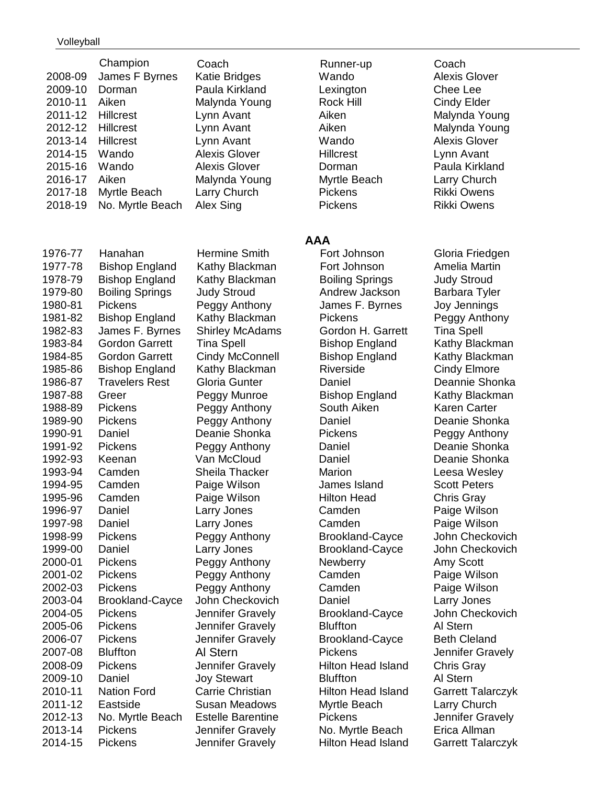#### Volleyball

| 2008-09<br>2009-10<br>2010-11<br>2011-12<br>2012-12<br>2013-14<br>2014-15<br>2015-16<br>2016-17<br>2017-18<br>2018-19 | Champion<br>James F Byrnes<br>Dorman<br>Aiken<br><b>Hillcrest</b><br><b>Hillcrest</b><br><b>Hillcrest</b><br>Wando<br>Wando<br>Aiken<br>Myrtle Beach<br>No. Myrtle Beach | Coach<br>Katie Bridges<br>Paula Kirkland<br>Malynda Young<br>Lynn Avant<br>Lynn Avant<br>Lynn Avant<br><b>Alexis Glover</b><br><b>Alexis Glover</b><br>Malynda Young<br>Larry Church<br>Alex Sing | Runner-up<br>Wando<br>Lexington<br>Rock Hill<br>Aiken<br>Aiken<br>Wando<br><b>Hillcrest</b><br>Dorman<br>Myrtle Beach<br><b>Pickens</b><br>Pickens | Coach<br><b>Alexis Glo</b><br>Chee Lee<br>Cindy Eld<br>Malynda \<br>Malynda \<br><b>Alexis Glo</b><br>Lynn Avar<br>Paula Kirk<br>Larry Chu<br><b>Rikki Owe</b><br><b>Rikki Owe</b> |
|-----------------------------------------------------------------------------------------------------------------------|--------------------------------------------------------------------------------------------------------------------------------------------------------------------------|---------------------------------------------------------------------------------------------------------------------------------------------------------------------------------------------------|----------------------------------------------------------------------------------------------------------------------------------------------------|------------------------------------------------------------------------------------------------------------------------------------------------------------------------------------|
|                                                                                                                       |                                                                                                                                                                          |                                                                                                                                                                                                   | <b>AAA</b>                                                                                                                                         |                                                                                                                                                                                    |
| 1976-77                                                                                                               | Hanahan                                                                                                                                                                  | Hermine Smith                                                                                                                                                                                     | Fort Johnson                                                                                                                                       | Gloria Frie                                                                                                                                                                        |
| 1977-78                                                                                                               | <b>Bishop England</b>                                                                                                                                                    | Kathy Blackman                                                                                                                                                                                    | Fort Johnson                                                                                                                                       | Amelia Ma                                                                                                                                                                          |
| 1978-79                                                                                                               | <b>Bishop England</b>                                                                                                                                                    | Kathy Blackman                                                                                                                                                                                    | <b>Boiling Springs</b>                                                                                                                             | <b>Judy Stro</b>                                                                                                                                                                   |
| 1979-80                                                                                                               | <b>Boiling Springs</b><br><b>Pickens</b>                                                                                                                                 | <b>Judy Stroud</b>                                                                                                                                                                                | Andrew Jackson                                                                                                                                     | Barbara T                                                                                                                                                                          |
| 1980-81<br>1981-82                                                                                                    | <b>Bishop England</b>                                                                                                                                                    | Peggy Anthony<br>Kathy Blackman                                                                                                                                                                   | James F. Byrnes<br><b>Pickens</b>                                                                                                                  | Joy Jenni<br>Peggy An                                                                                                                                                              |
| 1982-83                                                                                                               | James F. Byrnes                                                                                                                                                          | <b>Shirley McAdams</b>                                                                                                                                                                            | Gordon H. Garrett                                                                                                                                  | Tina Spel                                                                                                                                                                          |
| 1983-84                                                                                                               | <b>Gordon Garrett</b>                                                                                                                                                    | <b>Tina Spell</b>                                                                                                                                                                                 | <b>Bishop England</b>                                                                                                                              | <b>Kathy Bla</b>                                                                                                                                                                   |
| 1984-85                                                                                                               | <b>Gordon Garrett</b>                                                                                                                                                    | Cindy McConnell                                                                                                                                                                                   | <b>Bishop England</b>                                                                                                                              | Kathy Bla                                                                                                                                                                          |
| 1985-86                                                                                                               | <b>Bishop England</b>                                                                                                                                                    | Kathy Blackman                                                                                                                                                                                    | Riverside                                                                                                                                          | Cindy Elm                                                                                                                                                                          |
| 1986-87                                                                                                               | <b>Travelers Rest</b>                                                                                                                                                    | Gloria Gunter                                                                                                                                                                                     | Daniel                                                                                                                                             | Deannie 9                                                                                                                                                                          |
| 1987-88                                                                                                               | Greer                                                                                                                                                                    | Peggy Munroe                                                                                                                                                                                      | <b>Bishop England</b>                                                                                                                              | Kathy Bla                                                                                                                                                                          |
| 1988-89                                                                                                               | Pickens                                                                                                                                                                  | Peggy Anthony                                                                                                                                                                                     | South Aiken                                                                                                                                        | Karen Ca                                                                                                                                                                           |
| 1989-90                                                                                                               | <b>Pickens</b>                                                                                                                                                           | Peggy Anthony                                                                                                                                                                                     | Daniel                                                                                                                                             | Deanie SI                                                                                                                                                                          |
| 1990-91                                                                                                               | Daniel                                                                                                                                                                   | Deanie Shonka                                                                                                                                                                                     | Pickens                                                                                                                                            | Peggy An                                                                                                                                                                           |
| 1991-92                                                                                                               | Pickens                                                                                                                                                                  | Peggy Anthony                                                                                                                                                                                     | Daniel                                                                                                                                             | Deanie SI                                                                                                                                                                          |
| 1992-93<br>1993-94                                                                                                    | Keenan<br>Camden                                                                                                                                                         | Van McCloud<br>Sheila Thacker                                                                                                                                                                     | Daniel<br>Marion                                                                                                                                   | Deanie SI<br>Leesa We                                                                                                                                                              |
| 1994-95                                                                                                               | Camden                                                                                                                                                                   | Paige Wilson                                                                                                                                                                                      | James Island                                                                                                                                       | <b>Scott Pete</b>                                                                                                                                                                  |
| 1995-96                                                                                                               | Camden                                                                                                                                                                   | Paige Wilson                                                                                                                                                                                      | Hilton Head                                                                                                                                        | Chris Gra                                                                                                                                                                          |
| 1996-97                                                                                                               | Daniel                                                                                                                                                                   | Larry Jones                                                                                                                                                                                       | Camden                                                                                                                                             | Paige Wil                                                                                                                                                                          |
| 1997-98                                                                                                               | Daniel                                                                                                                                                                   | Larry Jones                                                                                                                                                                                       | Camden                                                                                                                                             | Paige Wil                                                                                                                                                                          |
| 1998-99                                                                                                               | Pickens                                                                                                                                                                  | Peggy Anthony                                                                                                                                                                                     | <b>Brookland-Cayce</b>                                                                                                                             | John Che                                                                                                                                                                           |
| 1999-00                                                                                                               | Daniel                                                                                                                                                                   | Larry Jones                                                                                                                                                                                       | <b>Brookland-Cayce</b>                                                                                                                             | John Che                                                                                                                                                                           |
| 2000-01                                                                                                               | Pickens                                                                                                                                                                  | Peggy Anthony                                                                                                                                                                                     | <b>Newberry</b>                                                                                                                                    | Amy Scot                                                                                                                                                                           |
| 2001-02                                                                                                               | <b>Pickens</b>                                                                                                                                                           | Peggy Anthony                                                                                                                                                                                     | Camden                                                                                                                                             | Paige Wil                                                                                                                                                                          |
| 2002-03                                                                                                               | Pickens                                                                                                                                                                  | Peggy Anthony                                                                                                                                                                                     | Camden                                                                                                                                             | Paige Wil                                                                                                                                                                          |
| 2003-04                                                                                                               | <b>Brookland-Cayce</b>                                                                                                                                                   | John Checkovich                                                                                                                                                                                   | Daniel                                                                                                                                             | Larry Jone                                                                                                                                                                         |
| 2004-05                                                                                                               | <b>Pickens</b>                                                                                                                                                           | Jennifer Gravely                                                                                                                                                                                  | <b>Brookland-Cayce</b>                                                                                                                             | John Che                                                                                                                                                                           |
| 2005-06                                                                                                               | <b>Pickens</b>                                                                                                                                                           | Jennifer Gravely                                                                                                                                                                                  | <b>Bluffton</b>                                                                                                                                    | Al Stern                                                                                                                                                                           |
| 2006-07                                                                                                               | Pickens                                                                                                                                                                  | Jennifer Gravely                                                                                                                                                                                  | <b>Brookland-Cayce</b>                                                                                                                             | <b>Beth Clela</b>                                                                                                                                                                  |
| 2007-08                                                                                                               | <b>Bluffton</b>                                                                                                                                                          | Al Stern                                                                                                                                                                                          | <b>Pickens</b>                                                                                                                                     | Jennifer G                                                                                                                                                                         |
| 2008-09<br>2009-10                                                                                                    | Pickens<br>Daniel                                                                                                                                                        | Jennifer Gravely                                                                                                                                                                                  | <b>Hilton Head Island</b><br><b>Bluffton</b>                                                                                                       | Chris Gra<br>Al Stern                                                                                                                                                              |
| 2010-11                                                                                                               | <b>Nation Ford</b>                                                                                                                                                       | <b>Joy Stewart</b><br>Carrie Christian                                                                                                                                                            | <b>Hilton Head Island</b>                                                                                                                          | <b>Garrett Ta</b>                                                                                                                                                                  |
| 2011-12                                                                                                               | Eastside                                                                                                                                                                 | <b>Susan Meadows</b>                                                                                                                                                                              | Myrtle Beach                                                                                                                                       | Larry Chu                                                                                                                                                                          |
| 2012-13                                                                                                               | No. Myrtle Beach                                                                                                                                                         | <b>Estelle Barentine</b>                                                                                                                                                                          | <b>Pickens</b>                                                                                                                                     | Jennifer G                                                                                                                                                                         |
| 2013-14                                                                                                               | <b>Pickens</b>                                                                                                                                                           | Jennifer Gravely                                                                                                                                                                                  | No. Myrtle Beach                                                                                                                                   | Erica Allm                                                                                                                                                                         |
| 2014-15                                                                                                               | <b>Pickens</b>                                                                                                                                                           | Jennifer Gravely                                                                                                                                                                                  | <b>Hilton Head Island</b>                                                                                                                          | <b>Garrett Ta</b>                                                                                                                                                                  |

Runner-up Coach **2010-2010-2010-2010-2010-2010** Rock Hill Cindy Elder **2014** Hillcrest Lynn Avant Myrtle Beach Larry Church Pickens Rikki Owens Pickens Rikki Owens

# **AAA**

Fort Johnson Amelia Martin **1978-1978** Boiling Springs Judy Stroud Andrew Jackson Barbara Tyler James F. Byrnes Joy Jennings Pickens **Peggy Anthony** 1982-83 Sordon H. Garrett Tina Spell Bishop England Kathy Blackman Bishop England Kathy Blackman Riverside Cindy Elmore Daniel **Deannie Shonka** Bishop England Kathy Blackman 1988-89 Pickens Peggy Anthony South Aiken Karen Carter Daniel **Deanie Shonka** Pickens Peggy Anthony Daniel **Deanie Shonka** Daniel **Deanie Shonka** Marion **Camella Thacker Marion** Leesa Wesley James Island Scott Peters Hilton Head Chris Gray Camden Paige Wilson Camden Paige Wilson Brookland-Cayce John Checkovich Brookland-Cayce John Checkovich **2000-01 Pickens Peak Pickers Peggy Amy Scott 2001** Camden Paige Wilson **2002** Camden Paige Wilson Daniel **Larry Jones** Brookland-Cayce John Checkovich Brookland-Cayce Beth Cleland Pickens **Digital Stephen Alennifer Gravely** Hilton Head Island Chris Gray Hilton Head Island Garrett Talarczyk Myrtle Beach Larry Church Pickens Jennifer Gravely No. Myrtle Beach Erica Allman Hilton Head Island Garrett Talarczyk

Wando **Alexis Glover** Aiken Malynda Young Aiken Malynda Young Wando **Alexis Glover** Dorman Paula Kirkland Fort Johnson Gloria Friedgen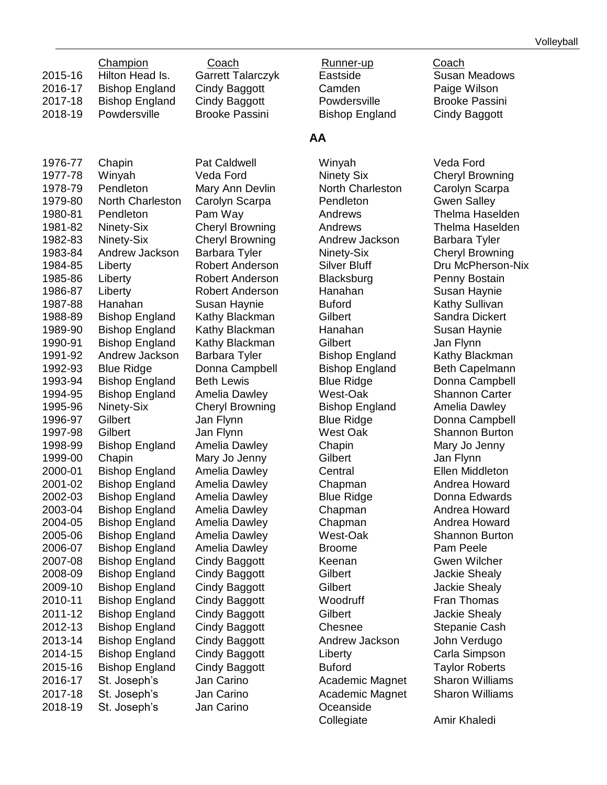|         | Champion              | Coach                    |
|---------|-----------------------|--------------------------|
| 2015-16 | Hilton Head Is.       | <b>Garrett Talarczyk</b> |
| 2016-17 | <b>Bishop England</b> | <b>Cindy Baggott</b>     |
| 2017-18 | <b>Bishop England</b> | Cindy Baggott            |
| 2018-19 | Powdersville          | <b>Brooke Passini</b>    |
|         |                       |                          |
|         |                       |                          |
|         |                       |                          |

| 1976-77            | Chapin                                         |
|--------------------|------------------------------------------------|
| 1977-78            | Winyah                                         |
| 1978-79            | Pendleton                                      |
| 1979-80            | <b>North Charleston</b>                        |
| 1980-81            | Pendleton                                      |
| 1981-82            | Ninety-Six                                     |
| 1982-83            | Ninety-Six                                     |
| 1983-84            | Andrew Jackson                                 |
| 1984-85            | Liberty                                        |
| 1985-86            | Liberty                                        |
| 1986-87            | Liberty                                        |
| 1987-88            | Hanahan                                        |
| 1988-89            | <b>Bishop England</b>                          |
| 1989-90            | <b>Bishop England</b>                          |
| 1990-91            | <b>Bishop England</b>                          |
| 1991-92            | Andrew Jackson                                 |
| 1992-93            | <b>Blue Ridge</b>                              |
| 1993-94            | <b>Bishop England</b>                          |
| 1994-95            | <b>Bishop England</b>                          |
| 1995-96            | Ninety-Six                                     |
| 1996-97            | Gilbert                                        |
| 1997-98            | Gilbert                                        |
| 1998-99            | <b>Bishop England</b>                          |
| 1999-00            | Chapin                                         |
| 2000-01            | <b>Bishop England</b>                          |
| 2001-02<br>2002-03 | <b>Bishop England</b><br><b>Bishop England</b> |
| 2003-04            | <b>Bishop England</b>                          |
| 2004-05            | <b>Bishop England</b>                          |
| 2005-06            | <b>Bishop England</b>                          |
| 2006-07            | <b>Bishop England</b>                          |
| 2007-08            | <b>Bishop England</b>                          |
| 2008-09            | <b>Bishop England</b>                          |
| 2009-10            | <b>Bishop England</b>                          |
| 2010-11            | <b>Bishop England</b>                          |
| 2011-12            | <b>Bishop England</b>                          |
| 2012-13            | <b>Bishop England</b>                          |
| 2013-14            | <b>Bishop England</b>                          |
| 2014-15            | <b>Bishop England</b>                          |
| 2015-16            | <b>Bishop England</b>                          |
| 2016-17            | St. Joseph's                                   |
| 2017-18            | St. Joseph's                                   |
| 2018-19            | St. Joseph's                                   |
|                    |                                                |

Pat Caldwell **1976-1976** Winyah Veda Ford 2018-19 St. Joseph's Jan Carino Oceanside

Runner-up Coach **2016** Camden **Camden** Paige Wilson Powdersville Brooke Passini Bishop England Cindy Baggott

### **AA**

Veda Ford **Ninety Six** Cheryl Browning Mary Ann Devlin **North Charleston** Carolyn Scarpa Carolyn Scarpa **1979-80 North Carolyn Carolyn Scarpa** Pendleton Gwen Salley Pam Way **1980-81 Pam Way Andrews** Thelma Haselden Cheryl Browning Andrews Thelma Haselden Cheryl Browning Andrew Jackson Barbara Tyler **1983-Barbara Tyler Cheryl Browning** Ninety-Six Cheryl Browning Robert Anderson Blacksburg Penny Bostain Robert Anderson Hanahan Susan Haynie 1987-88 Hanahan Susan Haynie Buford Kathy Sullivan Kathy Blackman Gilbert Sandra Dickert Kathy Blackman Hanahan Susan Haynie Kathy Blackman Gilbert Jan Flynn **1991-1992-92 Bishop England Kathy Blackman** Donna Campbell Bishop England Beth Capelmann 1994 Beth Lewis **Example Blue Ridge** Blue **Donna Campbell** Amelia Dawley **Nest-Oak** Shannon Carter Cheryl Browning Bishop England Amelia Dawley Jan Flynn Blue Ridge Donna Campbell 1997-98 Gilbert Jan Flynn West Oak Shannon Burton Amelia Dawley **Chapin** Chapin Mary Jo Jenny 1999-Mary Jo Jenny Gilbert Gilbert Jan Flynn Amelia Dawley **Central** Ellen Middleton Amelia Dawley **Chapman** Andrea Howard Amelia Dawley **Blue Ridge** Donna Edwards Amelia Dawley **Chapman** Andrea Howard Amelia Dawley **Chapman** Andrea Howard Amelia Dawley **2006** West-Oak Shannon Burton Amelia Dawley **Broome** Pam Peele Cindy Baggott **Keenan** Gwen Wilcher **2008-0008-009 Cindy Baggott Gilbert Cindy Baggott Gilbert** Jackie Shealy Cindy Baggott **Gilbert** Gilbert Jackie Shealy Cindy Baggott **Woodruff** Fran Thomas Cindy Baggott **Gilbert** Gilbert Jackie Shealy Cindy Baggott Chesnee Stepanie Cash Cindy Baggott **Andrew Jackson** John Verdugo Cindy Baggott **Liberty** Carla Simpson Cindy Baggott Buford Taylor Roberts Jan Carino **2016** Academic Magnet Sharon Williams 2017-18 St. Joseph's Jan Carino Academic Magnet Sharon Williams Collegiate Amir Khaledi

Eastside **Susan Meadows** 

Robert Anderson Silver Bluff **Dru McPherson-Nix**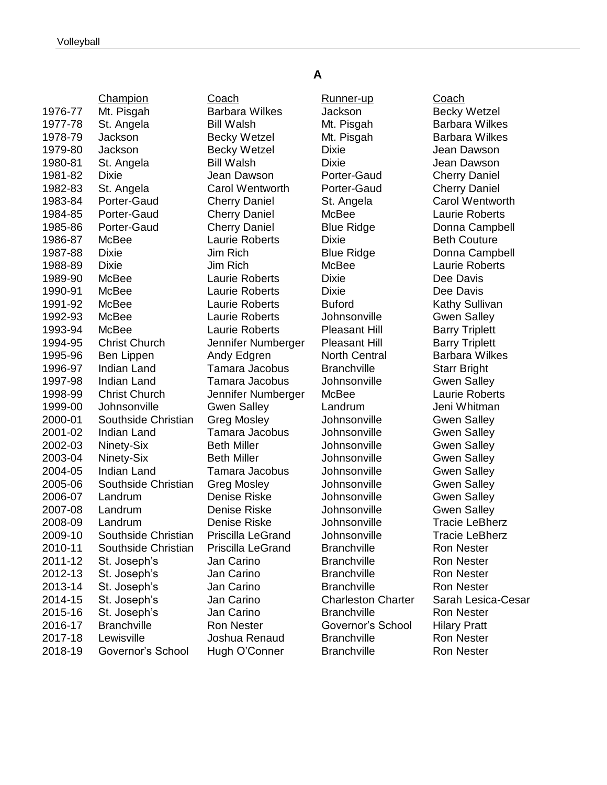|         | Champion             | Coach                  | Runner-up                 | Coach               |
|---------|----------------------|------------------------|---------------------------|---------------------|
| 1976-77 | Mt. Pisgah           | <b>Barbara Wilkes</b>  | Jackson                   | <b>Becky Wetz</b>   |
| 1977-78 | St. Angela           | <b>Bill Walsh</b>      | Mt. Pisgah                | Barbara Wi          |
| 1978-79 | Jackson              | <b>Becky Wetzel</b>    | Mt. Pisgah                | Barbara Wi          |
| 1979-80 | Jackson              | <b>Becky Wetzel</b>    | <b>Dixie</b>              | Jean Daws           |
| 1980-81 | St. Angela           | <b>Bill Walsh</b>      | <b>Dixie</b>              | Jean Daws           |
| 1981-82 | <b>Dixie</b>         | Jean Dawson            | Porter-Gaud               | <b>Cherry Dan</b>   |
| 1982-83 | St. Angela           | <b>Carol Wentworth</b> | Porter-Gaud               | <b>Cherry Dan</b>   |
| 1983-84 | Porter-Gaud          | <b>Cherry Daniel</b>   | St. Angela                | <b>Carol Went</b>   |
| 1984-85 | Porter-Gaud          | <b>Cherry Daniel</b>   | McBee                     | Laurie Rob          |
| 1985-86 | Porter-Gaud          | <b>Cherry Daniel</b>   | <b>Blue Ridge</b>         | Donna Can           |
| 1986-87 | McBee                | Laurie Roberts         | <b>Dixie</b>              | <b>Beth Coutu</b>   |
| 1987-88 | <b>Dixie</b>         | Jim Rich               | <b>Blue Ridge</b>         | Donna Can           |
| 1988-89 | <b>Dixie</b>         | Jim Rich               | McBee                     | Laurie Rob          |
| 1989-90 | McBee                | Laurie Roberts         | <b>Dixie</b>              | Dee Davis           |
| 1990-91 | McBee                | Laurie Roberts         | <b>Dixie</b>              | Dee Davis           |
| 1991-92 | McBee                | <b>Laurie Roberts</b>  | <b>Buford</b>             | <b>Kathy Sulliv</b> |
| 1992-93 | McBee                | Laurie Roberts         | Johnsonville              | <b>Gwen Salle</b>   |
| 1993-94 | McBee                | Laurie Roberts         | <b>Pleasant Hill</b>      | <b>Barry Triple</b> |
| 1994-95 | <b>Christ Church</b> | Jennifer Numberger     | <b>Pleasant Hill</b>      | <b>Barry Triple</b> |
| 1995-96 | Ben Lippen           | Andy Edgren            | <b>North Central</b>      | Barbara Wi          |
| 1996-97 | Indian Land          | Tamara Jacobus         | <b>Branchville</b>        | <b>Starr Bright</b> |
| 1997-98 | Indian Land          | Tamara Jacobus         | Johnsonville              | <b>Gwen Salle</b>   |
| 1998-99 | <b>Christ Church</b> | Jennifer Numberger     | McBee                     | Laurie Rob          |
| 1999-00 | Johnsonville         | <b>Gwen Salley</b>     | Landrum                   | Jeni Whitm          |
| 2000-01 | Southside Christian  | <b>Greg Mosley</b>     | Johnsonville              | <b>Gwen Salle</b>   |
| 2001-02 | Indian Land          | Tamara Jacobus         | Johnsonville              | <b>Gwen Salle</b>   |
| 2002-03 | Ninety-Six           | <b>Beth Miller</b>     | Johnsonville              | <b>Gwen Salle</b>   |
| 2003-04 | Ninety-Six           | <b>Beth Miller</b>     | Johnsonville              | <b>Gwen Salle</b>   |
| 2004-05 | Indian Land          | Tamara Jacobus         | Johnsonville              | <b>Gwen Salle</b>   |
| 2005-06 | Southside Christian  | <b>Greg Mosley</b>     | Johnsonville              | <b>Gwen Salle</b>   |
| 2006-07 | Landrum              | Denise Riske           | Johnsonville              | <b>Gwen Salle</b>   |
| 2007-08 | Landrum              | Denise Riske           | Johnsonville              | <b>Gwen Salle</b>   |
| 2008-09 | Landrum              | Denise Riske           | Johnsonville              | <b>Tracie LeBI</b>  |
| 2009-10 | Southside Christian  | Priscilla LeGrand      | Johnsonville              | <b>Tracie LeBI</b>  |
| 2010-11 | Southside Christian  | Priscilla LeGrand      | <b>Branchville</b>        | <b>Ron Nester</b>   |
| 2011-12 | St. Joseph's         | Jan Carino             | <b>Branchville</b>        | <b>Ron Nester</b>   |
| 2012-13 | St. Joseph's         | Jan Carino             | <b>Branchville</b>        | <b>Ron Nester</b>   |
| 2013-14 | St. Joseph's         | Jan Carino             | <b>Branchville</b>        | <b>Ron Nester</b>   |
| 2014-15 | St. Joseph's         | Jan Carino             | <b>Charleston Charter</b> | Sarah Lesio         |
| 2015-16 | St. Joseph's         | Jan Carino             | <b>Branchville</b>        | <b>Ron Nester</b>   |
| 2016-17 | <b>Branchville</b>   | <b>Ron Nester</b>      | Governor's School         | <b>Hilary Pratt</b> |
| 2017-18 | Lewisville           | Joshua Renaud          | <b>Branchville</b>        | <b>Ron Nester</b>   |
| 2018-19 | Governor's School    | Hugh O'Conner          | <b>Branchville</b>        | <b>Ron Nester</b>   |
|         |                      |                        |                           |                     |

Coach Runner-up Coach Barbara Wilkes Jackson Becky Wetzel Bill Walsh Mt. Pisgah Barbara Wilkes Becky Wetzel Mt. Pisgah Barbara Wilkes 1979-90 Becky Wetzel Dixie Dixie Jean Dawson 1980-91 Bill Walsh Dixie Dixie Jean Dawson 1981-82 Dixie Jean Dawson Porter-Gaud Cherry Daniel Carol Wentworth Porter-Gaud Cherry Daniel Cherry Daniel St. Angela Carol Wentworth Cherry Daniel McBee Laurie Roberts **Cherry Daniel Blue Ridge Cherry Donna Campbell Blue Ridge Cherry Donna Campbell** Laurie Roberts Dixie **Dixie Beth Couture 1987-91-98 Jim Rich Campbell Blue Ridge Conna Campbell** 1988-89 Dixie Jim Rich McBee Laurie Roberts **1989-1999-1999-1990 Laurie Roberts Dixie Dee Davis** Laurie Roberts Dixie Die Dee Davis Laurie Roberts **Buford** Kathy Sullivan Laurie Roberts **Johnsonville** Gwen Salley Laurie Roberts Pleasant Hill Barry Triplett Jennifer Numberger Pleasant Hill Barry Triplett Andy Edgren **North Central Barbara Wilkes** Tamara Jacobus Branchville Starr Bright Tamara Jacobus Johnsonville Gwen Salley 1998-99 Christ Church Jennifer Numberger McBee Laurie Roberts 1999-00 Gwen Salley Landrum Jeni Whitman an Greg Mosley **Johnsonville** Gwen Salley Tamara Jacobus Johnsonville Gwen Salley **2002-03 Ninetz Seth Miller Salley Johnsonville Gwen Salley 2003-04 Beth Miller Constructs Seth Miller Constructs Beth Miller** Tamara Jacobus Johnsonville Gwen Salley an Greg Mosley bohnsonville Gwen Salley 2006-07 Landrum Denise Riske Johnsonville Gwen Salley Denise Riske Landrum Johnsonville Gwen Salley 2008-09 Landrum Denise Riske Johnsonville Tracie LeBherz an Priscilla LeGrand Johnsonville Tracie LeBherz 2010-11 Southside Christian Priscilla LeGrand Branchville Ron Nester 2011-12 St. Joseph's Jan Carino Branchville Ron Nester 2012-13 St. Joseph's Jan Carino Branchville Ron Nester Ron Nester **2016** Governor's School Hilary Pratt 2017-18 Lewisville Joshua Renaud Branchville Ron Nester

**A**

2014-15 St. Joseph's Jan Carino Charleston Charter Sarah Lesica-Cesar